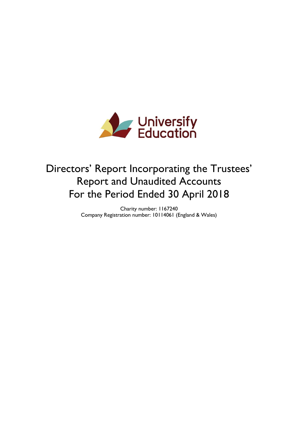

# Directors' Report Incorporating the Trustees' Report and Unaudited Accounts For the Period Ended 30 April 2018

Charity number: 1167240 Company Registration number: 10114061 (England & Wales)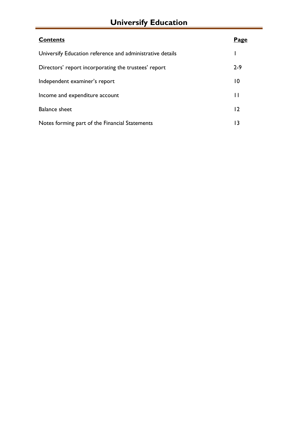# **Universify Education**

| <b>Contents</b>                                           | <u>Page</u>     |
|-----------------------------------------------------------|-----------------|
| Universify Education reference and administrative details |                 |
| Directors' report incorporating the trustees' report      | $2 - 9$         |
| Independent examiner's report                             | $\overline{10}$ |
| Income and expenditure account                            | П               |
| <b>Balance sheet</b>                                      | $\overline{12}$ |
| Notes forming part of the Financial Statements            | 13              |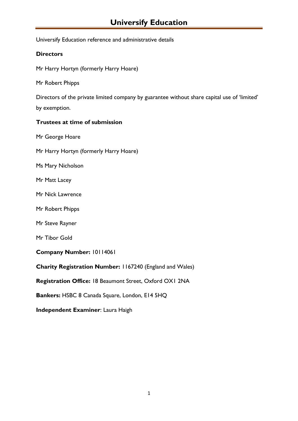Universify Education reference and administrative details

# **Directors**

Mr Harry Hortyn (formerly Harry Hoare)

Mr Robert Phipps

Directors of the private limited company by guarantee without share capital use of 'limited' by exemption.

# **Trustees at time of submission**

Mr George Hoare

Mr Harry Hortyn (formerly Harry Hoare)

Ms Mary Nicholson

Mr Matt Lacey

Mr Nick Lawrence

Mr Robert Phipps

Mr Steve Rayner

Mr Tibor Gold

**Company Number:** 10114061

**Charity Registration Number:** 1167240 (England and Wales)

**Registration Office:** 18 Beaumont Street, Oxford OX1 2NA

**Bankers:** HSBC 8 Canada Square, London, E14 5HQ

**Independent Examiner**: Laura Haigh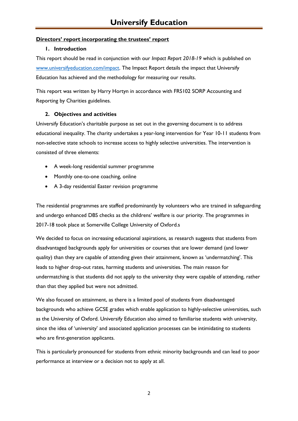# **Directors' report incorporating the trustees' report**

## **1. Introduction**

This report should be read in conjunction with our *Impact Report 2018-19* which is published on [www.universifyeducation.com/impact.](http://www.universifyeducation.com/impact) The Impact Report details the impact that Universify Education has achieved and the methodology for measuring our results.

This report was written by Harry Hortyn in accordance with FRS102 SORP Accounting and Reporting by Charities guidelines.

# **2. Objectives and activities**

Universify Education's charitable purpose as set out in the governing document is to address educational inequality. The charity undertakes a year-long intervention for Year 10-11 students from non-selective state schools to increase access to highly selective universities. The intervention is consisted of three elements:

- A week-long residential summer programme
- Monthly one-to-one coaching, online
- A 3-day residential Easter revision programme

The residential programmes are staffed predominantly by volunteers who are trained in safeguarding and undergo enhanced DBS checks as the childrens' welfare is our priority. The programmes in 2017-18 took place at Somerville College University of Oxford.s

We decided to focus on increasing educational aspirations, as research suggests that students from disadvantaged backgrounds apply for universities or courses that are lower demand (and lower quality) than they are capable of attending given their attainment, known as 'undermatching'. This leads to higher drop-out rates, harming students and universities. The main reason for undermatching is that students did not apply to the university they were capable of attending, rather than that they applied but were not admitted.

We also focused on attainment, as there is a limited pool of students from disadvantaged backgrounds who achieve GCSE grades which enable application to highly-selective universities, such as the University of Oxford. Universify Education also aimed to familiarise students with university, since the idea of 'university' and associated application processes can be intimidating to students who are first-generation applicants.

This is particularly pronounced for students from ethnic minority backgrounds and can lead to poor performance at interview or a decision not to apply at all.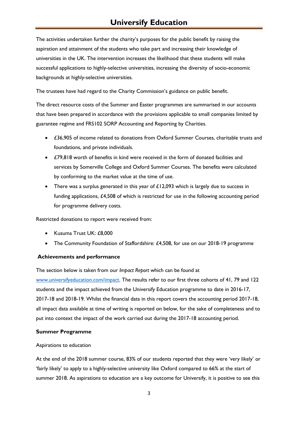# **Universify Education**

The activities undertaken further the charity's purposes for the public benefit by raising the aspiration and attainment of the students who take part and increasing their knowledge of universities in the UK. The intervention increases the likelihood that these students will make successful applications to highly-selective universities, increasing the diversity of socio-economic backgrounds at highly-selective universities.

The trustees have had regard to the Charity Commission's guidance on public benefit.

The direct resource costs of the Summer and Easter programmes are summarised in our accounts that have been prepared in accordance with the provisions applicable to small companies limited by guarantee regime and FRS102 SORP Accounting and Reporting by Charities.

- £36,905 of income related to donations from Oxford Summer Courses, charitable trusts and foundations, and private individuals.
- £79,818 worth of benefits in kind were received in the form of donated facilities and services by Somerville College and Oxford Summer Courses. The benefits were calculated by conforming to the market value at the time of use.
- There was a surplus generated in this year of  $£12,093$  which is largely due to success in funding applications, £4,508 of which is restricted for use in the following accounting period for programme delivery costs.

Restricted donations to report were received from:

- Kusuma Trust UK: £8,000
- The Community Foundation of Staffordshire: £4,508, for use on our 2018-19 programme

#### **Achievements and performance**

The section below is taken from our *Impact Report* which can be found at

[www.universifyeducation.com/impact.](http://www.universifyeducation.com/impact) The results refer to our first three cohorts of 41, 79 and 122 students and the impact achieved from the Universify Education programme to date in 2016-17, 2017-18 and 2018-19. Whilst the financial data in this report covers the accounting period 2017-18, all impact data available at time of writing is reported on below, for the sake of completeness and to put into context the impact of the work carried out during the 2017-18 accounting period.

#### **Summer Programme**

#### Aspirations to education

At the end of the 2018 summer course, 83% of our students reported that they were 'very likely' or 'fairly likely' to apply to a highly-selective university like Oxford compared to 66% at the start of summer 2018. As aspirations to education are a key outcome for Universify, it is positive to see this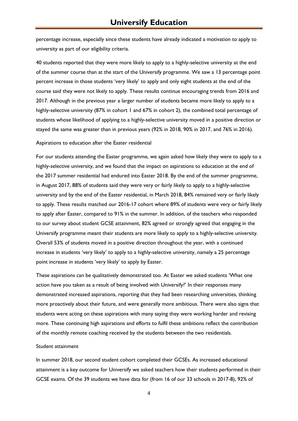percentage increase, especially since these students have already indicated a motivation to apply to university as part of our eligibility criteria.

40 students reported that they were more likely to apply to a highly-selective university at the end of the summer course than at the start of the Universify programme. We saw a 13 percentage point percent increase in those students 'very likely' to apply and only eight students at the end of the course said they were not likely to apply. These results continue encouraging trends from 2016 and 2017. Although in the previous year a larger number of students became more likely to apply to a highly-selective university (87% in cohort 1 and 67% in cohort 2), the combined total percentage of students whose likelihood of applying to a highly-selective university moved in a positive direction or stayed the same was greater than in previous years (92% in 2018, 90% in 2017, and 76% in 2016).

#### Aspirations to education after the Easter residential

For our students attending the Easter programme, we again asked how likely they were to apply to a highly-selective university, and we found that the impact on aspirations to education at the end of the 2017 summer residential had endured into Easter 2018. By the end of the summer programme, in August 2017, 88% of students said they were very or fairly likely to apply to a highly-selective university and by the end of the Easter residential, in March 2018, 84% remained very or fairly likely to apply. These results matched our 2016-17 cohort where 89% of students were very or fairly likely to apply after Easter, compared to 91% in the summer. In addition, of the teachers who responded to our survey about student GCSE attainment, 82% agreed or strongly agreed that engaging in the Universify programme meant their students are more likely to apply to a highly-selective university. Overall 53% of students moved in a positive direction throughout the year, with a continued increase in students 'very likely' to apply to a highly-selective university, namely a 25 percentage point increase in students 'very likely' to apply by Easter.

These aspirations can be qualitatively demonstrated too. At Easter we asked students 'What one action have you taken as a result of being involved with Universify?' In their responses many demonstrated increased aspirations, reporting that they had been researching universities, thinking more proactively about their future, and were generally more ambitious. There were also signs that students were acting on these aspirations with many saying they were working harder and revising more. These continuing high aspirations and efforts to fulfil these ambitions reflect the contribution of the monthly remote coaching received by the students between the two residentials.

#### Student attainment

In summer 2018, our second student cohort completed their GCSEs. As increased educational attainment is a key outcome for Universify we asked teachers how their students performed in their GCSE exams. Of the 39 students we have data for (from 16 of our 33 schools in 2017-8), 92% of

4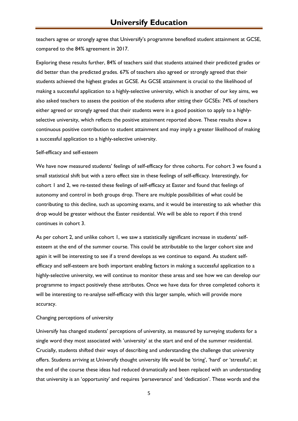teachers agree or strongly agree that Universify's programme benefited student attainment at GCSE, compared to the 84% agreement in 2017.

Exploring these results further, 84% of teachers said that students attained their predicted grades or did better than the predicted grades. 67% of teachers also agreed or strongly agreed that their students achieved the highest grades at GCSE. As GCSE attainment is crucial to the likelihood of making a successful application to a highly-selective university, which is another of our key aims, we also asked teachers to assess the position of the students after sitting their GCSEs: 74% of teachers either agreed or strongly agreed that their students were in a good position to apply to a highlyselective university, which reflects the positive attainment reported above. These results show a continuous positive contribution to student attainment and may imply a greater likelihood of making a successful application to a highly-selective university.

#### Self-efficacy and self-esteem

We have now measured students' feelings of self-efficacy for three cohorts. For cohort 3 we found a small statistical shift but with a zero effect size in these feelings of self-efficacy. Interestingly, for cohort 1 and 2, we re-tested these feelings of self-efficacy at Easter and found that feelings of autonomy and control in both groups drop. There are multiple possibilities of what could be contributing to this decline, such as upcoming exams, and it would be interesting to ask whether this drop would be greater without the Easter residential. We will be able to report if this trend continues in cohort 3.

As per cohort 2, and unlike cohort 1, we saw a statistically significant increase in students' selfesteem at the end of the summer course. This could be attributable to the larger cohort size and again it will be interesting to see if a trend develops as we continue to expand. As student selfefficacy and self-esteem are both important enabling factors in making a successful application to a highly-selective university, we will continue to monitor these areas and see how we can develop our programme to impact positively these attributes. Once we have data for three completed cohorts it will be interesting to re-analyse self-efficacy with this larger sample, which will provide more accuracy.

#### Changing perceptions of university

Universify has changed students' perceptions of university, as measured by surveying students for a single word they most associated with 'university' at the start and end of the summer residential. Crucially, students shifted their ways of describing and understanding the challenge that university offers. Students arriving at Universify thought university life would be 'tiring', 'hard' or 'stressful'; at the end of the course these ideas had reduced dramatically and been replaced with an understanding that university is an 'opportunity' and requires 'perseverance' and 'dedication'. These words and the

5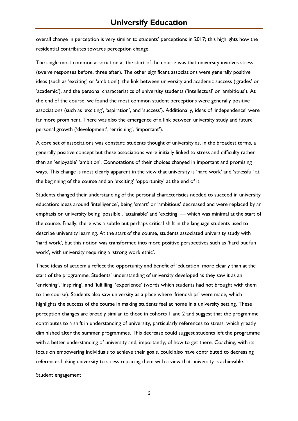overall change in perception is very similar to students' perceptions in 2017; this highlights how the residential contributes towards perception change.

The single most common association at the start of the course was that university involves stress (twelve responses before, three after). The other significant associations were generally positive ideas (such as 'exciting' or 'ambition'), the link between university and academic success ('grades' or 'academic'), and the personal characteristics of university students ('intellectual' or 'ambitious'). At the end of the course, we found the most common student perceptions were generally positive associations (such as 'exciting', 'aspiration', and 'success'). Additionally, ideas of 'independence' were far more prominent. There was also the emergence of a link between university study and future personal growth ('development', 'enriching', 'important').

A core set of associations was constant: students thought of university as, in the broadest terms, a generally positive concept but these associations were initially linked to stress and difficulty rather than an 'enjoyable' 'ambition'. Connotations of their choices changed in important and promising ways. This change is most clearly apparent in the view that university is 'hard work' and 'stressful' at the beginning of the course and an 'exciting' 'opportunity' at the end of it.

Students changed their understanding of the personal characteristics needed to succeed in university education: ideas around 'intelligence', being 'smart' or 'ambitious' decreased and were replaced by an emphasis on university being 'possible', 'attainable' and 'exciting' — which was minimal at the start of the course. Finally, there was a subtle but perhaps critical shift in the language students used to describe university learning. At the start of the course, students associated university study with 'hard work', but this notion was transformed into more positive perspectives such as 'hard but fun work', with university requiring a 'strong work ethic'.

These ideas of academia reflect the opportunity and benefit of 'education' more clearly than at the start of the programme. Students' understanding of university developed as they saw it as an 'enriching', 'inspiring', and 'fulfilling' 'experience' (words which students had not brought with them to the course). Students also saw university as a place where 'friendships' were made, which highlights the success of the course in making students feel at home in a university setting. These perception changes are broadly similar to those in cohorts 1 and 2 and suggest that the programme contributes to a shift in understanding of university, particularly references to stress, which greatly diminished after the summer programmes. This decrease could suggest students left the programme with a better understanding of university and, importantly, of how to get there. Coaching, with its focus on empowering individuals to achieve their goals, could also have contributed to decreasing references linking university to stress replacing them with a view that university is achievable.

Student engagement

6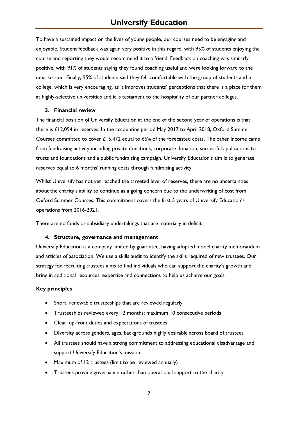To have a sustained impact on the lives of young people, our courses need to be engaging and enjoyable. Student feedback was again very positive in this regard, with 95% of students enjoying the course and reporting they would recommend it to a friend. Feedback on coaching was similarly positive, with 91% of students saying they found coaching useful and were looking forward to the next session. Finally, 95% of students said they felt comfortable with the group of students and in college, which is very encouraging, as it improves students' perceptions that there is a place for them at highly-selective universities and it is testament to the hospitality of our partner colleges.

#### **3. Financial review**

The financial position of Universify Education at the end of the second year of operations is that there is £12,094 in reserves. In the accounting period May 2017 to April 2018, Oxford Summer Courses committed to cover £15,472 equal to 66% of the forecasted costs. The other income came from fundraising activity including private donations, corporate donation, successful applications to trusts and foundations and a public fundraising campaign. Universify Education's aim is to generate reserves equal to 6 months' running costs through fundraising activity.

Whilst Universify has not yet reached the targeted level of reserves, there are no uncertainties about the charity's ability to continue as a going concern due to the underwriting of cost from Oxford Summer Courses. This commitment covers the first 5 years of Universify Education's operations from 2016-2021.

There are no funds or subsidiary undertakings that are materially in deficit.

#### **4. Structure, governance and management**

Universify Education is a company limited by guarantee, having adopted model charity memorandum and articles of association. We use a skills audit to identify the skills required of new trustees. Our strategy for recruiting trustees aims to find individuals who can support the charity's growth and bring in additional resources, expertise and connections to help us achieve our goals.

#### **Key principles**

- Short, renewable trusteeships that are reviewed regularly
- Trusteeships reviewed every 12 months; maximum 10 consecutive periods
- Clear, up-front duties and expectations of trustees
- Diversity across genders, ages, backgrounds highly desirable across board of trustees
- All trustees should have a strong commitment to addressing educational disadvantage and support Universify Education's mission
- Maximum of 12 trustees (limit to be reviewed annually)
- Trustees provide governance rather than operational support to the charity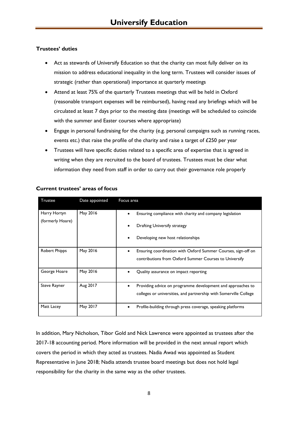# **Trustees' duties**

- Act as stewards of Universify Education so that the charity can most fully deliver on its mission to address educational inequality in the long term. Trustees will consider issues of strategic (rather than operational) importance at quarterly meetings
- Attend at least 75% of the quarterly Trustees meetings that will be held in Oxford (reasonable transport expenses will be reimbursed), having read any briefings which will be circulated at least 7 days prior to the meeting date (meetings will be scheduled to coincide with the summer and Easter courses where appropriate)
- Engage in personal fundraising for the charity (e.g. personal campaigns such as running races, events etc.) that raise the profile of the charity and raise a target of £250 per year
- Trustees will have specific duties related to a specific area of expertise that is agreed in writing when they are recruited to the board of trustees. Trustees must be clear what information they need from staff in order to carry out their governance role properly

| Trustee              | Date appointed | Focus area                                                            |
|----------------------|----------------|-----------------------------------------------------------------------|
| Harry Hortyn         | May 2016       | Ensuring compliance with charity and company legislation<br>$\bullet$ |
| (formerly Hoare)     |                | Drafting Universify strategy                                          |
|                      |                | Developing new host relationships                                     |
| <b>Robert Phipps</b> | May 2016       | Ensuring coordination with Oxford Summer Courses, sign-off on<br>٠    |
|                      |                | contributions from Oxford Summer Courses to Universify                |
| George Hoare         | May 2016       | Quality assurance on impact reporting                                 |
| Steve Rayner         | Aug 2017       | Providing advice on programme development and approaches to<br>٠      |
|                      |                | colleges or universities, and partnership with Somerville College     |
| Matt Lacey           | May 2017       | Profile-building through press coverage, speaking platforms           |

## **Current trustees' areas of focus**

In addition, Mary Nicholson, Tibor Gold and Nick Lawrence were appointed as trustees after the 2017-18 accounting period. More information will be provided in the next annual report which covers the period in which they acted as trustees. Nadia Awad was appointed as Student Representative in June 2018; Nadia attends trustee board meetings but does not hold legal responsibility for the charity in the same way as the other trustees.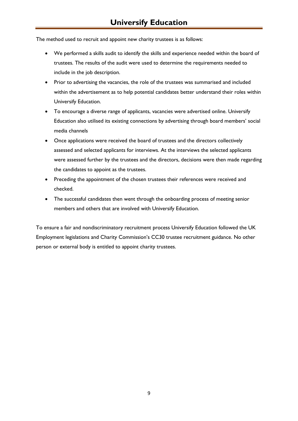The method used to recruit and appoint new charity trustees is as follows:

- We performed a skills audit to identify the skills and experience needed within the board of trustees. The results of the audit were used to determine the requirements needed to include in the job description.
- Prior to advertising the vacancies, the role of the trustees was summarised and included within the advertisement as to help potential candidates better understand their roles within Universify Education.
- To encourage a diverse range of applicants, vacancies were advertised online. Universify Education also utilised its existing connections by advertising through board members' social media channels
- Once applications were received the board of trustees and the directors collectively assessed and selected applicants for interviews. At the interviews the selected applicants were assessed further by the trustees and the directors, decisions were then made regarding the candidates to appoint as the trustees.
- Preceding the appointment of the chosen trustees their references were received and checked.
- The successful candidates then went through the onboarding process of meeting senior members and others that are involved with Universify Education.

To ensure a fair and nondiscriminatory recruitment process Universify Education followed the UK Employment legislations and Charity Commission's CC30 trustee recruitment guidance. No other person or external body is entitled to appoint charity trustees.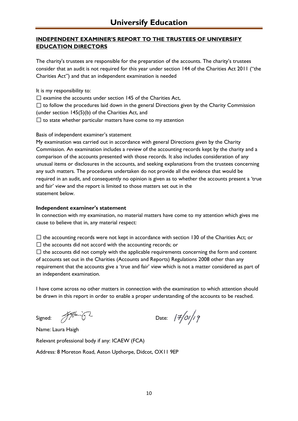# **INDEPENDENT EXAMINER'S REPORT TO THE TRUSTEES OF UNIVERSIFY EDUCATION DIRECTORS**

The charity's trustees are responsible for the preparation of the accounts. The charity's trustees consider that an audit is not required for this year under section 144 of the Charities Act 2011 ("the Charities Act") and that an independent examination is needed

It is my responsibility to:

 $\square$  examine the accounts under section 145 of the Charities Act,

 $\Box$  to follow the procedures laid down in the general Directions given by the Charity Commission (under section 145(5)(b) of the Charities Act, and

 $\Box$  to state whether particular matters have come to my attention

Basis of independent examiner's statement

My examination was carried out in accordance with general Directions given by the Charity Commission. An examination includes a review of the accounting records kept by the charity and a comparison of the accounts presented with those records. It also includes consideration of any unusual items or disclosures in the accounts, and seeking explanations from the trustees concerning any such matters. The procedures undertaken do not provide all the evidence that would be required in an audit, and consequently no opinion is given as to whether the accounts present a 'true and fair' view and the report is limited to those matters set out in the statement below.

# **Independent examiner's statement**

In connection with my examination, no material matters have come to my attention which gives me cause to believe that in, any material respect:

 $\Box$  the accounting records were not kept in accordance with section 130 of the Charities Act; or

 $\Box$  the accounts did not accord with the accounting records; or

 $\Box$  the accounts did not comply with the applicable requirements concerning the form and content of accounts set out in the Charities (Accounts and Reports) Regulations 2008 other than any requirement that the accounts give a 'true and fair' view which is not a matter considered as part of an independent examination.

I have come across no other matters in connection with the examination to which attention should be drawn in this report in order to enable a proper understanding of the accounts to be reached.

Signed:  $\frac{1}{2}$  System Date:  $\frac{1}{2}$  Date:  $\frac{1}{2}$  Date:  $\frac{1}{2}$ 

Name: Laura Haigh

Relevant professional body if any: ICAEW (FCA)

Address: 8 Moreton Road, Aston Upthorpe, Didcot, OX11 9EP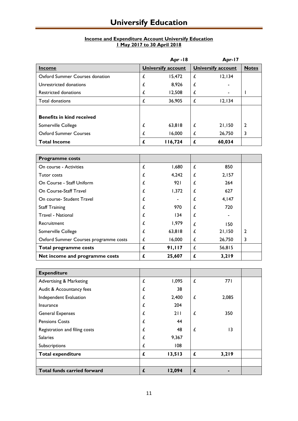#### **Income and Expenditure Account Universify Education 1 May 2017 to 30 April 2018**

|                                  |   | Apr $-18$                 |   | Apr-17                    |              |
|----------------------------------|---|---------------------------|---|---------------------------|--------------|
| <b>Income</b>                    |   | <b>Universify account</b> |   | <b>Universify account</b> | <b>Notes</b> |
| Oxford Summer Courses donation   | £ | 15,472                    | £ | 12, 134                   |              |
| Unrestricted donations           | £ | 8,926                     | £ |                           |              |
| <b>Restricted donations</b>      | £ | 12,508                    | £ |                           |              |
| Total donations                  | £ | 36,905                    | £ | 12.134                    |              |
|                                  |   |                           |   |                           |              |
| <b>Benefits in kind received</b> |   |                           |   |                           |              |
| Somerville College               | £ | 63,818                    | £ | 21,150                    | 2            |
| <b>Oxford Summer Courses</b>     | £ | 16,000                    | £ | 26,750                    | 3            |
| <b>Total Income</b>              | £ | 116,724                   | £ | 60,034                    |              |

| <b>Programme costs</b>                |   |        |   |        |              |
|---------------------------------------|---|--------|---|--------|--------------|
| On course - Activities                | £ | 1,680  | £ | 850    |              |
| Tutor costs                           | £ | 4,242  | £ | 2,157  |              |
| On Course - Staff Uniform             | £ | 921    | £ | 264    |              |
| On Course-Staff Travel                |   | 1,372  | £ | 627    |              |
| On course- Student Travel             | £ |        | £ | 4,147  |              |
| <b>Staff Training</b>                 |   | 970    | £ | 720    |              |
| <b>Travel - National</b>              |   | 134    | £ |        |              |
| Recruitment                           |   | 1,979  | £ | 150    |              |
| Somerville College                    | £ | 63,818 | £ | 21,150 | $\mathbf{2}$ |
| Oxford Summer Courses programme costs | £ | 16,000 | £ | 26,750 | 3            |
| <b>Total programme costs</b>          | £ | 91,117 | £ | 56,815 |              |
| Net income and programme costs        | £ | 25,607 | £ | 3,219  |              |

| <b>Expenditure</b>                 |   |        |   |       |  |
|------------------------------------|---|--------|---|-------|--|
| <b>Advertising &amp; Marketing</b> | £ | 1,095  | £ | 771   |  |
| Audit & Accountancy fees           | £ | 38     |   |       |  |
| Independent Evaluation             | £ | 2,400  | £ | 2,085 |  |
| Insurance                          | £ | 204    |   |       |  |
| <b>General Expenses</b>            | £ | 211    | £ | 350   |  |
| <b>Pensions Costs</b>              | £ | 44     |   |       |  |
| Registration and filing costs      | £ | 48     | £ | 3     |  |
| <b>Salaries</b>                    | £ | 9,367  |   |       |  |
| Subscriptions                      |   | 108    |   |       |  |
| <b>Total expenditure</b>           | £ | 13,513 | £ | 3,219 |  |
|                                    |   |        |   |       |  |
| <b>Total funds carried forward</b> |   | 12,094 | £ |       |  |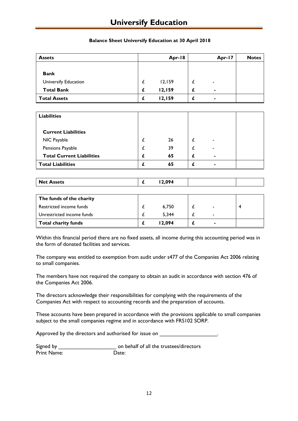# **Universify Education**

| <b>Assets</b>        |   | Apr-18 |   | Apr-17         | <b>Notes</b> |
|----------------------|---|--------|---|----------------|--------------|
|                      |   |        |   |                |              |
| <b>Bank</b>          |   |        |   |                |              |
| Universify Education |   | 12,159 |   | ۰              |              |
| <b>Total Bank</b>    | £ | 12,159 | £ | ٠              |              |
| <b>Total Assets</b>  |   | 12,159 |   | $\blacksquare$ |              |

## **Balance Sheet Universify Education at 30 April 2018**

| <b>Liabilities</b>               |    |                          |  |
|----------------------------------|----|--------------------------|--|
| <b>Current Liabilities</b>       |    |                          |  |
| NIC Payable                      | 26 | $\overline{\phantom{0}}$ |  |
| Pensions Payable                 | 39 | -                        |  |
| <b>Total Current Liabilities</b> | 65 | $\blacksquare$           |  |
| <b>Total Liabilities</b>         | 65 | $\blacksquare$           |  |

|                      |   | $\sim$ |  |
|----------------------|---|--------|--|
| Net<br><b>Assets</b> | - | .      |  |

| The funds of the charity  |        |                          |  |
|---------------------------|--------|--------------------------|--|
| Restricted income funds   | 6.750  |                          |  |
| Unrestricted income funds | 5.344  | -                        |  |
| Total charity funds       | 12.094 | $\overline{\phantom{0}}$ |  |

Within this financial period there are no fixed assets, all income during this accounting period was in the form of donated facilities and services.

The company was entitled to exemption from audit under s477 of the Companies Act 2006 relating to small companies.

The members have not required the company to obtain an audit in accordance with section 476 of the Companies Act 2006.

The directors acknowledge their responsibilities for complying with the requirements of the Companies Act with respect to accounting records and the preparation of accounts.

These accounts have been prepared in accordance with the provisions applicable to small companies subject to the small companies regime and in accordance with FRS102 SORP.

Approved by the directors and authorised for issue on \_\_\_\_\_\_\_\_\_\_\_\_\_\_\_\_\_\_\_\_\_\_\_\_\_\_

| Signed by   | on behalf of all the trustees/directors |
|-------------|-----------------------------------------|
| Print Name: | Date:                                   |